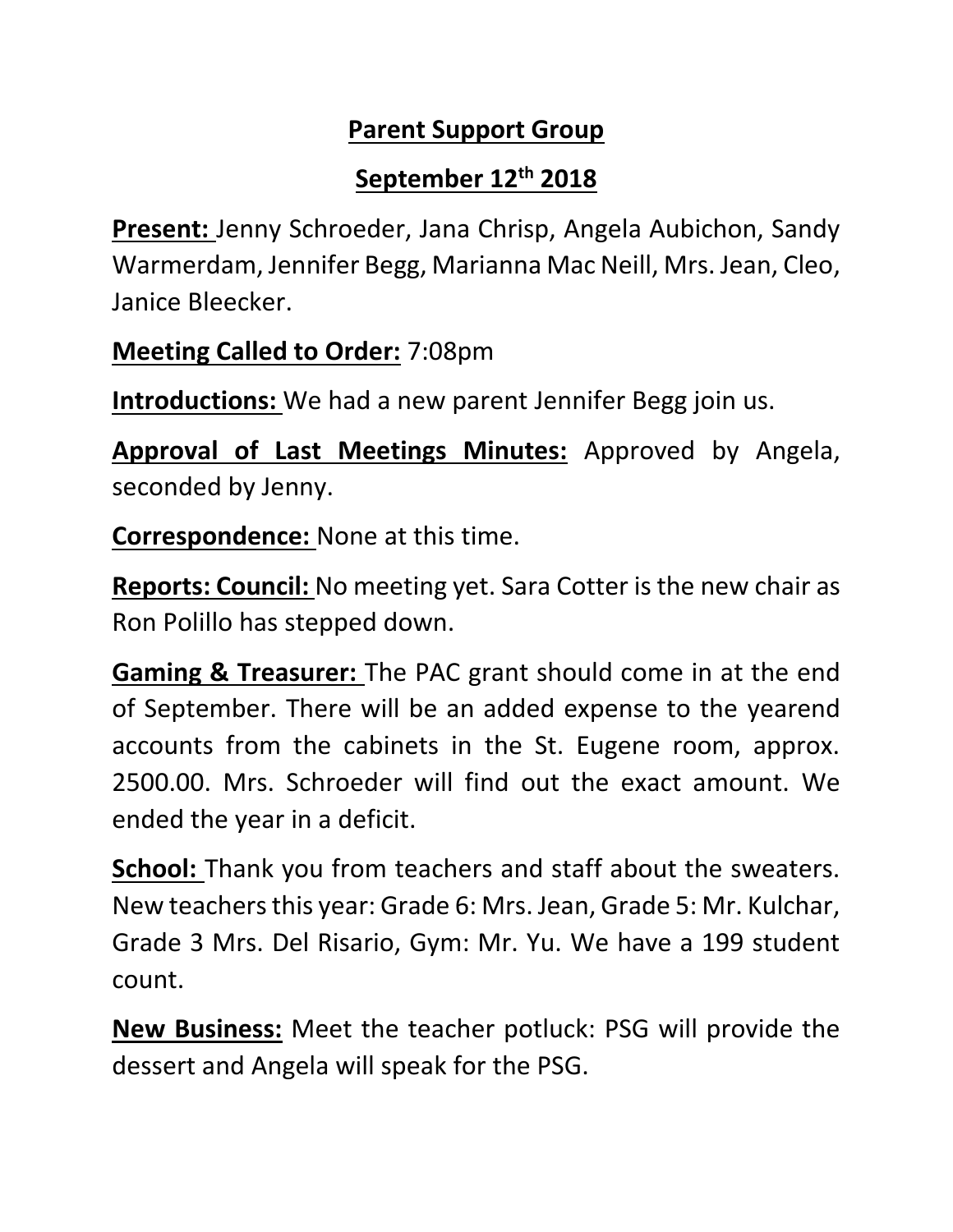## **Parent Support Group**

## **September 12th 2018**

**Present:** Jenny Schroeder, Jana Chrisp, Angela Aubichon, Sandy Warmerdam, Jennifer Begg, Marianna Mac Neill, Mrs. Jean, Cleo, Janice Bleecker.

**Meeting Called to Order:** 7:08pm

**Introductions:** We had a new parent Jennifer Begg join us.

**Approval of Last Meetings Minutes:** Approved by Angela, seconded by Jenny.

**Correspondence:** None at this time.

**Reports: Council:** No meeting yet. Sara Cotter is the new chair as Ron Polillo has stepped down.

**Gaming & Treasurer:** The PAC grant should come in at the end of September. There will be an added expense to the yearend accounts from the cabinets in the St. Eugene room, approx. 2500.00. Mrs. Schroeder will find out the exact amount. We ended the year in a deficit.

**School:** Thank you from teachers and staff about the sweaters. New teachers this year: Grade 6: Mrs. Jean, Grade 5: Mr. Kulchar, Grade 3 Mrs. Del Risario, Gym: Mr. Yu. We have a 199 student count.

**New Business:** Meet the teacher potluck: PSG will provide the dessert and Angela will speak for the PSG.